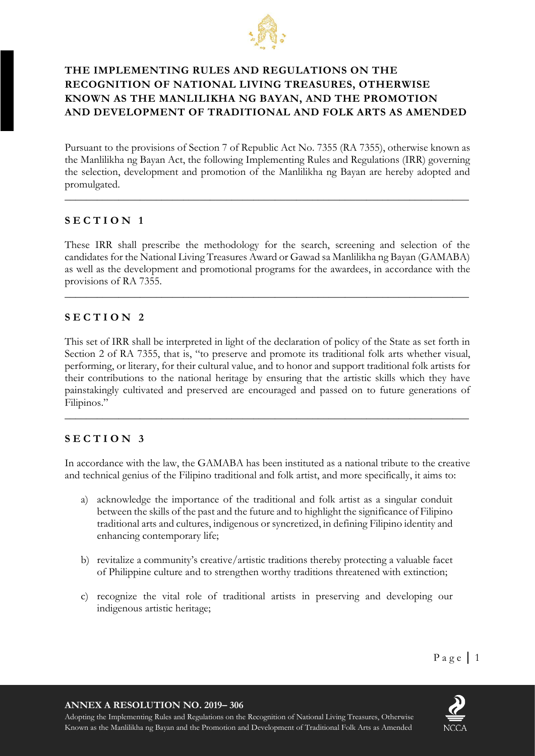

# **THE IMPLEMENTING RULES AND REGULATIONS ON THE RECOGNITION OF NATIONAL LIVING TREASURES, OTHERWISE KNOWN AS THE MANLILIKHA NG BAYAN, AND THE PROMOTION AND DEVELOPMENT OF TRADITIONAL AND FOLK ARTS AS AMENDED**

Pursuant to the provisions of Section 7 of Republic Act No. 7355 (RA 7355), otherwise known as the Manlilikha ng Bayan Act, the following Implementing Rules and Regulations (IRR) governing the selection, development and promotion of the Manlilikha ng Bayan are hereby adopted and promulgated.

**\_\_\_\_\_\_\_\_\_\_\_\_\_\_\_\_\_\_\_\_\_\_\_\_\_\_\_\_\_\_\_\_\_\_\_\_\_\_\_\_\_\_\_\_\_\_\_\_\_\_\_\_\_\_\_\_\_\_\_\_\_\_\_\_\_\_\_\_\_\_\_\_\_\_\_**

### **S E C T I O N 1**

These IRR shall prescribe the methodology for the search, screening and selection of the candidates for the National Living Treasures Award or Gawad sa Manlilikha ng Bayan (GAMABA) as well as the development and promotional programs for the awardees, in accordance with the provisions of RA 7355.

**\_\_\_\_\_\_\_\_\_\_\_\_\_\_\_\_\_\_\_\_\_\_\_\_\_\_\_\_\_\_\_\_\_\_\_\_\_\_\_\_\_\_\_\_\_\_\_\_\_\_\_\_\_\_\_\_\_\_\_\_\_\_\_\_\_\_\_\_\_\_\_\_\_\_\_**

### **S E C T I O N 2**

This set of IRR shall be interpreted in light of the declaration of policy of the State as set forth in Section 2 of RA 7355, that is, "to preserve and promote its traditional folk arts whether visual, performing, or literary, for their cultural value, and to honor and support traditional folk artists for their contributions to the national heritage by ensuring that the artistic skills which they have painstakingly cultivated and preserved are encouraged and passed on to future generations of Filipinos."

**\_\_\_\_\_\_\_\_\_\_\_\_\_\_\_\_\_\_\_\_\_\_\_\_\_\_\_\_\_\_\_\_\_\_\_\_\_\_\_\_\_\_\_\_\_\_\_\_\_\_\_\_\_\_\_\_\_\_\_\_\_\_\_\_\_\_\_\_\_\_\_\_\_\_\_**

## **S E C T I O N 3**

In accordance with the law, the GAMABA has been instituted as a national tribute to the creative and technical genius of the Filipino traditional and folk artist, and more specifically, it aims to:

- a) acknowledge the importance of the traditional and folk artist as a singular conduit between the skills of the past and the future and to highlight the significance of Filipino traditional arts and cultures, indigenous or syncretized, in defining Filipino identity and enhancing contemporary life;
- b) revitalize a community's creative/artistic traditions thereby protecting a valuable facet of Philippine culture and to strengthen worthy traditions threatened with extinction;
- c) recognize the vital role of traditional artists in preserving and developing our indigenous artistic heritage;

**ANNEX A RESOLUTION NO. 2019– 306**

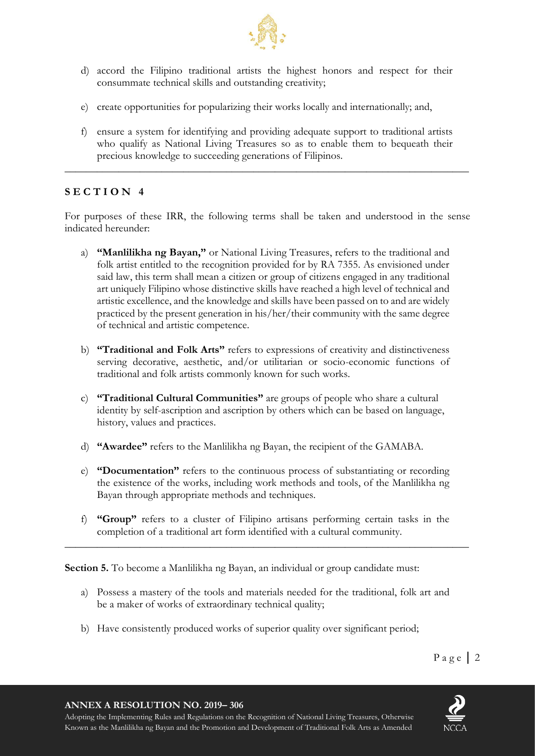

- d) accord the Filipino traditional artists the highest honors and respect for their consummate technical skills and outstanding creativity;
- e) create opportunities for popularizing their works locally and internationally; and,
- f) ensure a system for identifying and providing adequate support to traditional artists who qualify as National Living Treasures so as to enable them to bequeath their precious knowledge to succeeding generations of Filipinos.

**\_\_\_\_\_\_\_\_\_\_\_\_\_\_\_\_\_\_\_\_\_\_\_\_\_\_\_\_\_\_\_\_\_\_\_\_\_\_\_\_\_\_\_\_\_\_\_\_\_\_\_\_\_\_\_\_\_\_\_\_\_\_\_\_\_\_\_\_\_\_\_\_\_\_\_**

## **S E C T I O N 4**

For purposes of these IRR, the following terms shall be taken and understood in the sense indicated hereunder:

- a) **"Manlilikha ng Bayan,"** or National Living Treasures, refers to the traditional and folk artist entitled to the recognition provided for by RA 7355. As envisioned under said law, this term shall mean a citizen or group of citizens engaged in any traditional art uniquely Filipino whose distinctive skills have reached a high level of technical and artistic excellence, and the knowledge and skills have been passed on to and are widely practiced by the present generation in his/her/their community with the same degree of technical and artistic competence.
- b) **"Traditional and Folk Arts"** refers to expressions of creativity and distinctiveness serving decorative, aesthetic, and/or utilitarian or socio-economic functions of traditional and folk artists commonly known for such works.
- c) **"Traditional Cultural Communities"** are groups of people who share a cultural identity by self-ascription and ascription by others which can be based on language, history, values and practices.
- d) **"Awardee"** refers to the Manlilikha ng Bayan, the recipient of the GAMABA.
- e) **"Documentation"** refers to the continuous process of substantiating or recording the existence of the works, including work methods and tools, of the Manlilikha ng Bayan through appropriate methods and techniques.
- f) **"Group"** refers to a cluster of Filipino artisans performing certain tasks in the completion of a traditional art form identified with a cultural community.

**\_\_\_\_\_\_\_\_\_\_\_\_\_\_\_\_\_\_\_\_\_\_\_\_\_\_\_\_\_\_\_\_\_\_\_\_\_\_\_\_\_\_\_\_\_\_\_\_\_\_\_\_\_\_\_\_\_\_\_\_\_\_\_\_\_\_\_\_\_\_\_\_\_\_\_**

**Section 5.** To become a Manlilikha ng Bayan, an individual or group candidate must:

- a) Possess a mastery of the tools and materials needed for the traditional, folk art and be a maker of works of extraordinary technical quality;
- b) Have consistently produced works of superior quality over significant period;

**ANNEX A RESOLUTION NO. 2019– 306**

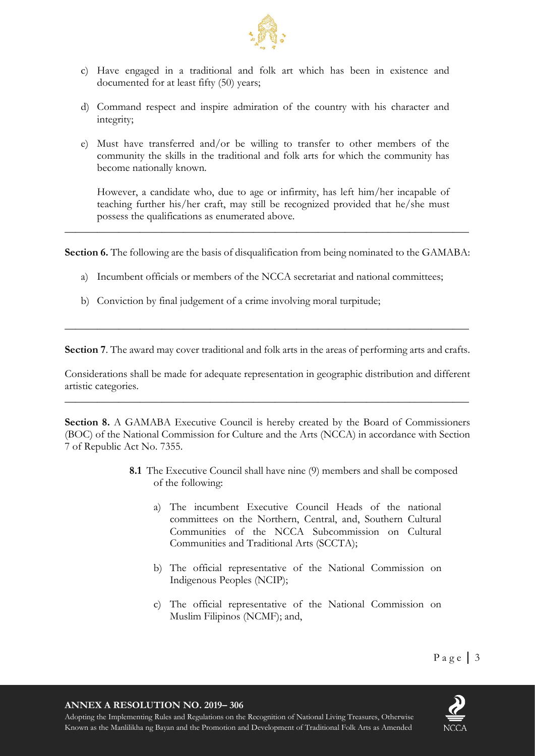

- c) Have engaged in a traditional and folk art which has been in existence and documented for at least fifty (50) years;
- d) Command respect and inspire admiration of the country with his character and integrity;
- e) Must have transferred and/or be willing to transfer to other members of the community the skills in the traditional and folk arts for which the community has become nationally known.

However, a candidate who, due to age or infirmity, has left him/her incapable of teaching further his/her craft, may still be recognized provided that he/she must possess the qualifications as enumerated above.

**Section 6.** The following are the basis of disqualification from being nominated to the GAMABA:

**\_\_\_\_\_\_\_\_\_\_\_\_\_\_\_\_\_\_\_\_\_\_\_\_\_\_\_\_\_\_\_\_\_\_\_\_\_\_\_\_\_\_\_\_\_\_\_\_\_\_\_\_\_\_\_\_\_\_\_\_\_\_\_\_\_\_\_\_\_\_\_\_\_\_\_**

- a) Incumbent officials or members of the NCCA secretariat and national committees;
- b) Conviction by final judgement of a crime involving moral turpitude;

**Section 7**. The award may cover traditional and folk arts in the areas of performing arts and crafts.

**\_\_\_\_\_\_\_\_\_\_\_\_\_\_\_\_\_\_\_\_\_\_\_\_\_\_\_\_\_\_\_\_\_\_\_\_\_\_\_\_\_\_\_\_\_\_\_\_\_\_\_\_\_\_\_\_\_\_\_\_\_\_\_\_\_\_\_\_\_\_\_\_\_\_\_**

Considerations shall be made for adequate representation in geographic distribution and different artistic categories.

**\_\_\_\_\_\_\_\_\_\_\_\_\_\_\_\_\_\_\_\_\_\_\_\_\_\_\_\_\_\_\_\_\_\_\_\_\_\_\_\_\_\_\_\_\_\_\_\_\_\_\_\_\_\_\_\_\_\_\_\_\_\_\_\_\_\_\_\_\_\_\_\_\_\_\_**

Section 8. A GAMABA Executive Council is hereby created by the Board of Commissioners (BOC) of the National Commission for Culture and the Arts (NCCA) in accordance with Section 7 of Republic Act No. 7355.

- **8.1** The Executive Council shall have nine (9) members and shall be composed of the following:
	- a) The incumbent Executive Council Heads of the national committees on the Northern, Central, and, Southern Cultural Communities of the NCCA Subcommission on Cultural Communities and Traditional Arts (SCCTA);
	- b) The official representative of the National Commission on Indigenous Peoples (NCIP);
	- c) The official representative of the National Commission on Muslim Filipinos (NCMF); and,

**ANNEX A RESOLUTION NO. 2019– 306**

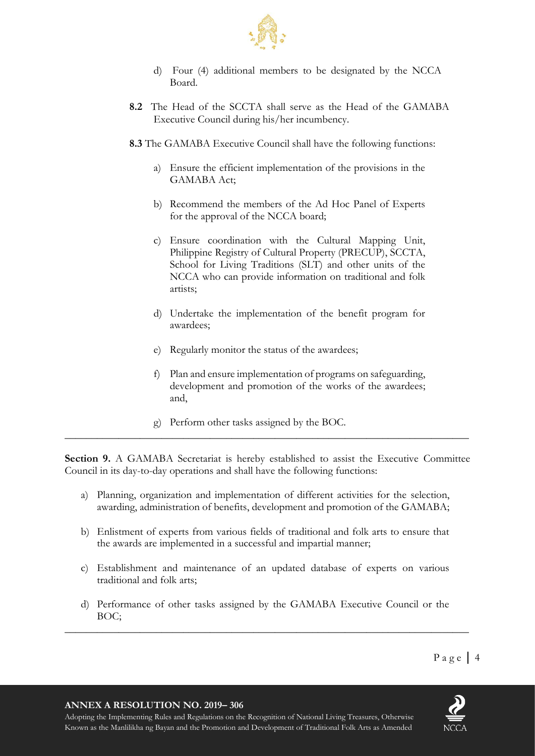

- d) Four (4) additional members to be designated by the NCCA Board.
- **8.2** The Head of the SCCTA shall serve as the Head of the GAMABA Executive Council during his/her incumbency.
- **8.3** The GAMABA Executive Council shall have the following functions:
	- a) Ensure the efficient implementation of the provisions in the GAMABA Act;
	- b) Recommend the members of the Ad Hoc Panel of Experts for the approval of the NCCA board;
	- c) Ensure coordination with the Cultural Mapping Unit, Philippine Registry of Cultural Property (PRECUP), SCCTA, School for Living Traditions (SLT) and other units of the NCCA who can provide information on traditional and folk artists;
	- d) Undertake the implementation of the benefit program for awardees;
	- e) Regularly monitor the status of the awardees;
	- f) Plan and ensure implementation of programs on safeguarding, development and promotion of the works of the awardees; and,
	- g) Perform other tasks assigned by the BOC.

**Section 9.** A GAMABA Secretariat is hereby established to assist the Executive Committee Council in its day-to-day operations and shall have the following functions:

**\_\_\_\_\_\_\_\_\_\_\_\_\_\_\_\_\_\_\_\_\_\_\_\_\_\_\_\_\_\_\_\_\_\_\_\_\_\_\_\_\_\_\_\_\_\_\_\_\_\_\_\_\_\_\_\_\_\_\_\_\_\_\_\_\_\_\_\_\_\_\_\_\_\_\_**

- a) Planning, organization and implementation of different activities for the selection, awarding, administration of benefits, development and promotion of the GAMABA;
- b) Enlistment of experts from various fields of traditional and folk arts to ensure that the awards are implemented in a successful and impartial manner;
- c) Establishment and maintenance of an updated database of experts on various traditional and folk arts;
- d) Performance of other tasks assigned by the GAMABA Executive Council or the BOC;

**\_\_\_\_\_\_\_\_\_\_\_\_\_\_\_\_\_\_\_\_\_\_\_\_\_\_\_\_\_\_\_\_\_\_\_\_\_\_\_\_\_\_\_\_\_\_\_\_\_\_\_\_\_\_\_\_\_\_\_\_\_\_\_\_\_\_\_\_\_\_\_\_\_\_\_**

#### **ANNEX A RESOLUTION NO. 2019– 306**

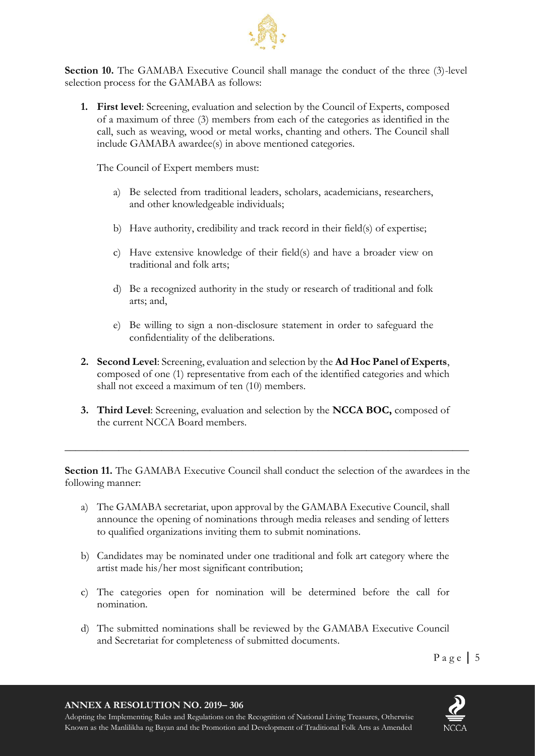

**Section 10.** The GAMABA Executive Council shall manage the conduct of the three (3)-level selection process for the GAMABA as follows:

**1. First level**: Screening, evaluation and selection by the Council of Experts, composed of a maximum of three (3) members from each of the categories as identified in the call, such as weaving, wood or metal works, chanting and others. The Council shall include GAMABA awardee(s) in above mentioned categories.

The Council of Expert members must:

- a) Be selected from traditional leaders, scholars, academicians, researchers, and other knowledgeable individuals;
- b) Have authority, credibility and track record in their field(s) of expertise;
- c) Have extensive knowledge of their field(s) and have a broader view on traditional and folk arts;
- d) Be a recognized authority in the study or research of traditional and folk arts; and,
- e) Be willing to sign a non-disclosure statement in order to safeguard the confidentiality of the deliberations.
- **2. Second Level**: Screening, evaluation and selection by the **Ad Hoc Panel of Experts**, composed of one (1) representative from each of the identified categories and which shall not exceed a maximum of ten (10) members.
- **3. Third Level**: Screening, evaluation and selection by the **NCCA BOC,** composed of the current NCCA Board members.

**\_\_\_\_\_\_\_\_\_\_\_\_\_\_\_\_\_\_\_\_\_\_\_\_\_\_\_\_\_\_\_\_\_\_\_\_\_\_\_\_\_\_\_\_\_\_\_\_\_\_\_\_\_\_\_\_\_\_\_\_\_\_\_\_\_\_\_\_\_\_\_\_\_\_\_**

**Section 11.** The GAMABA Executive Council shall conduct the selection of the awardees in the following manner:

- a) The GAMABA secretariat, upon approval by the GAMABA Executive Council, shall announce the opening of nominations through media releases and sending of letters to qualified organizations inviting them to submit nominations.
- b) Candidates may be nominated under one traditional and folk art category where the artist made his/her most significant contribution;
- c) The categories open for nomination will be determined before the call for nomination.
- d) The submitted nominations shall be reviewed by the GAMABA Executive Council and Secretariat for completeness of submitted documents.

**ANNEX A RESOLUTION NO. 2019– 306**

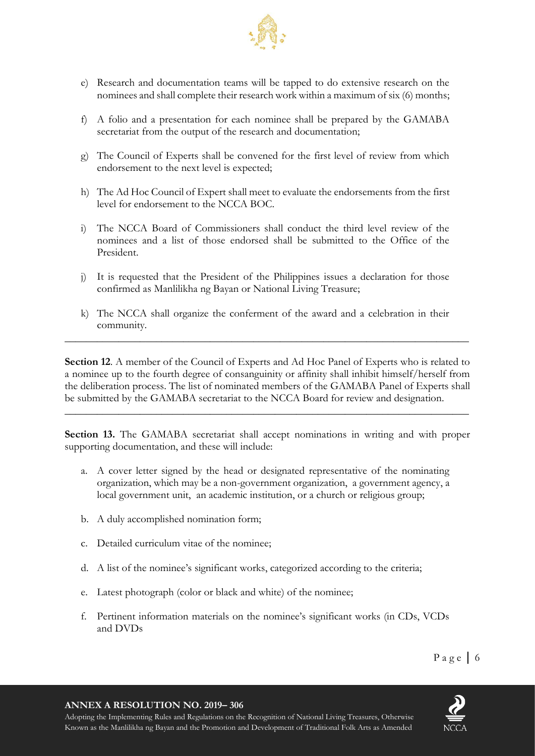

- e) Research and documentation teams will be tapped to do extensive research on the nominees and shall complete their research work within a maximum of six (6) months;
- f) A folio and a presentation for each nominee shall be prepared by the GAMABA secretariat from the output of the research and documentation;
- g) The Council of Experts shall be convened for the first level of review from which endorsement to the next level is expected;
- h) The Ad Hoc Council of Expert shall meet to evaluate the endorsements from the first level for endorsement to the NCCA BOC.
- i) The NCCA Board of Commissioners shall conduct the third level review of the nominees and a list of those endorsed shall be submitted to the Office of the President.
- j) It is requested that the President of the Philippines issues a declaration for those confirmed as Manlilikha ng Bayan or National Living Treasure;
- k) The NCCA shall organize the conferment of the award and a celebration in their community.

**\_\_\_\_\_\_\_\_\_\_\_\_\_\_\_\_\_\_\_\_\_\_\_\_\_\_\_\_\_\_\_\_\_\_\_\_\_\_\_\_\_\_\_\_\_\_\_\_\_\_\_\_\_\_\_\_\_\_\_\_\_\_\_\_\_\_\_\_\_\_\_\_\_\_\_**

Section 12. A member of the Council of Experts and Ad Hoc Panel of Experts who is related to a nominee up to the fourth degree of consanguinity or affinity shall inhibit himself/herself from the deliberation process. The list of nominated members of the GAMABA Panel of Experts shall be submitted by the GAMABA secretariat to the NCCA Board for review and designation.

**\_\_\_\_\_\_\_\_\_\_\_\_\_\_\_\_\_\_\_\_\_\_\_\_\_\_\_\_\_\_\_\_\_\_\_\_\_\_\_\_\_\_\_\_\_\_\_\_\_\_\_\_\_\_\_\_\_\_\_\_\_\_\_\_\_\_\_\_\_\_\_\_\_\_\_**

**Section 13.** The GAMABA secretariat shall accept nominations in writing and with proper supporting documentation, and these will include:

- a. A cover letter signed by the head or designated representative of the nominating organization, which may be a non-government organization, a government agency, a local government unit, an academic institution, or a church or religious group;
- b. A duly accomplished nomination form;
- c. Detailed curriculum vitae of the nominee;
- d. A list of the nominee's significant works, categorized according to the criteria;
- e. Latest photograph (color or black and white) of the nominee;
- f. Pertinent information materials on the nominee's significant works (in CDs, VCDs and DVDs

#### **ANNEX A RESOLUTION NO. 2019– 306**

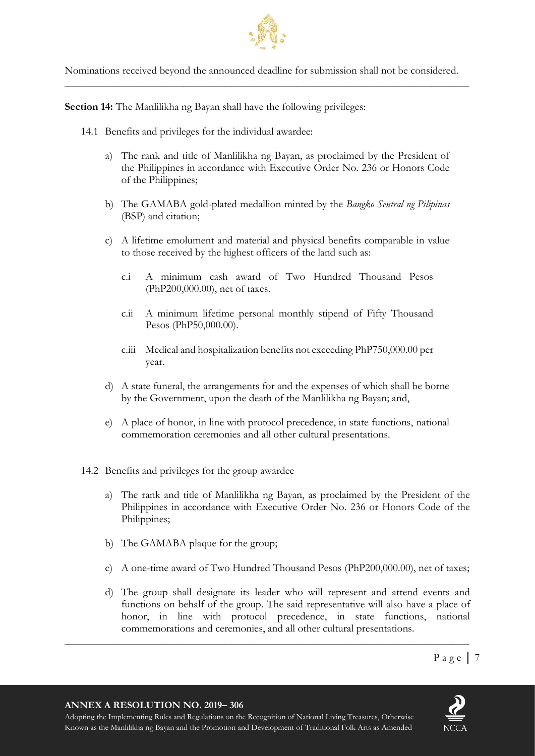

Nominations received beyond the announced deadline for submission shall not be considered. **\_\_\_\_\_\_\_\_\_\_\_\_\_\_\_\_\_\_\_\_\_\_\_\_\_\_\_\_\_\_\_\_\_\_\_\_\_\_\_\_\_\_\_\_\_\_\_\_\_\_\_\_\_\_\_\_\_\_\_\_\_\_\_\_\_\_\_\_\_\_\_\_\_\_\_**

**Section 14:** The Manlilikha ng Bayan shall have the following privileges:

- 14.1 Benefits and privileges for the individual awardee:
	- a) The rank and title of Manlilikha ng Bayan, as proclaimed by the President of the Philippines in accordance with Executive Order No. 236 or Honors Code of the Philippines;
	- b) The GAMABA gold-plated medallion minted by the *Bangko Sentral ng Pilipinas*  (BSP) and citation;
	- c) A lifetime emolument and material and physical benefits comparable in value to those received by the highest officers of the land such as:
		- c.i A minimum cash award of Two Hundred Thousand Pesos (PhP200,000.00), net of taxes.
		- c.ii A minimum lifetime personal monthly stipend of Fifty Thousand Pesos (PhP50,000.00).
		- c.iii Medical and hospitalization benefits not exceeding PhP750,000.00 per year.
	- d) A state funeral, the arrangements for and the expenses of which shall be borne by the Government, upon the death of the Manlilikha ng Bayan; and,
	- e) A place of honor, in line with protocol precedence, in state functions, national commemoration ceremonies and all other cultural presentations.
- 14.2 Benefits and privileges for the group awardee
	- a) The rank and title of Manlilikha ng Bayan, as proclaimed by the President of the Philippines in accordance with Executive Order No. 236 or Honors Code of the Philippines;
	- b) The GAMABA plaque for the group;
	- c) A one-time award of Two Hundred Thousand Pesos (PhP200,000.00), net of taxes;
	- d) The group shall designate its leader who will represent and attend events and functions on behalf of the group. The said representative will also have a place of honor, in line with protocol precedence, in state functions, national commemorations and ceremonies, and all other cultural presentations.

**\_\_\_\_\_\_\_\_\_\_\_\_\_\_\_\_\_\_\_\_\_\_\_\_\_\_\_\_\_\_\_\_\_\_\_\_\_\_\_\_\_\_\_\_\_\_\_\_\_\_\_\_\_\_\_\_\_\_\_\_\_\_\_\_\_\_\_\_\_\_\_\_\_\_\_**

**ANNEX A RESOLUTION NO. 2019– 306**